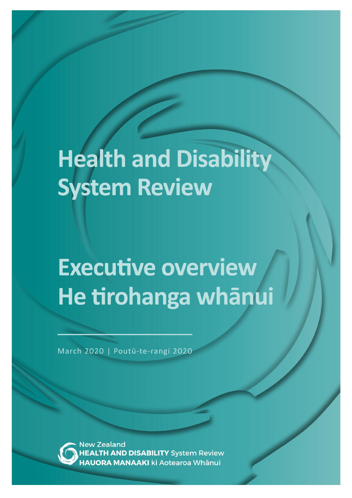# **Health and Disability System Review**

# **Executive overview** He tirohanga whānui

March 2020 | Poutū-te-rangi 2020

ew Zealand **H AND DISABILITY System Review JORA MANAAKI** ki Aotearoa Whānui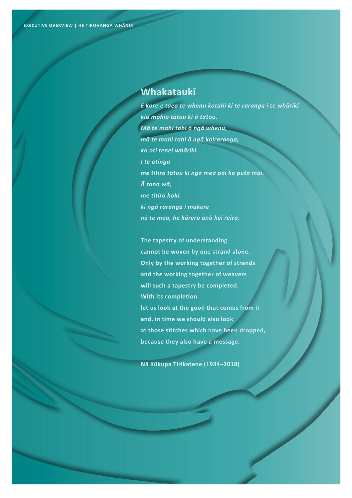# **Whakataukī**

*E kore e taea te whenu kotahi ki te raranga i te whāriki kia mōhio tātou ki ā tātou. Mā te mahi tahi ō ngā whenu, mā te mahi tahi ō ngā kairaranga, ka oti tenei whāriki. I te otinga me titiro tātou ki ngā mea pai ka puta mai. Ā tana wā, me titiro hoki ki ngā raranga i makere nā te mea, he kōrero anō kei reira.* 

**The tapestry of understanding cannot be woven by one strand alone. Only by the working together of strands and the working together of weavers will such a tapestry be completed. With its completion let us look at the good that comes from it and, in time we should also look at those stitches which have been dropped, because they also have a message.**

**Nā Kūkupa Tirikatene (1934–2018)**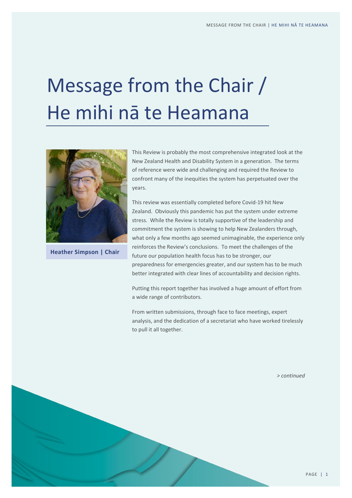# Message from the Chair / He mihi nā te Heamana



**Heather Simpson | Chair**

This Review is probably the most comprehensive integrated look at the New Zealand Health and Disability System in a generation. The terms of reference were wide and challenging and required the Review to confront many of the inequities the system has perpetuated over the years.

This review was essentially completed before Covid-19 hit New Zealand. Obviously this pandemic has put the system under extreme stress. While the Review is totally supportive of the leadership and commitment the system is showing to help New Zealanders through, what only a few months ago seemed unimaginable, the experience only reinforces the Review's conclusions. To meet the challenges of the future our population health focus has to be stronger, our preparedness for emergencies greater, and our system has to be much better integrated with clear lines of accountability and decision rights.

Putting this report together has involved a huge amount of effort from a wide range of contributors.

From written submissions, through face to face meetings, expert analysis, and the dedication of a secretariat who have worked tirelessly to pull it all together.

*> continued*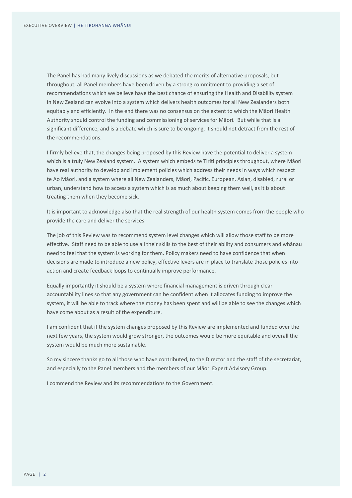The Panel has had many lively discussions as we debated the merits of alternative proposals, but throughout, all Panel members have been driven by a strong commitment to providing a set of recommendations which we believe have the best chance of ensuring the Health and Disability system in New Zealand can evolve into a system which delivers health outcomes for all New Zealanders both equitably and efficiently. In the end there was no consensus on the extent to which the Māori Health Authority should control the funding and commissioning of services for Māori. But while that is a significant difference, and is a debate which is sure to be ongoing, it should not detract from the rest of the recommendations.

I firmly believe that, the changes being proposed by this Review have the potential to deliver a system which is a truly New Zealand system. A system which embeds te Tiriti principles throughout, where Māori have real authority to develop and implement policies which address their needs in ways which respect te Ao Māori, and a system where all New Zealanders, Māori, Pacific, European, Asian, disabled, rural or urban, understand how to access a system which is as much about keeping them well, as it is about treating them when they become sick.

It is important to acknowledge also that the real strength of our health system comes from the people who provide the care and deliver the services.

The job of this Review was to recommend system level changes which will allow those staff to be more effective. Staff need to be able to use all their skills to the best of their ability and consumers and whānau need to feel that the system is working for them. Policy makers need to have confidence that when decisions are made to introduce a new policy, effective levers are in place to translate those policies into action and create feedback loops to continually improve performance.

Equally importantly it should be a system where financial management is driven through clear accountability lines so that any government can be confident when it allocates funding to improve the system, it will be able to track where the money has been spent and will be able to see the changes which have come about as a result of the expenditure.

I am confident that if the system changes proposed by this Review are implemented and funded over the next few years, the system would grow stronger, the outcomes would be more equitable and overall the system would be much more sustainable.

So my sincere thanks go to all those who have contributed, to the Director and the staff of the secretariat, and especially to the Panel members and the members of our Māori Expert Advisory Group.

I commend the Review and its recommendations to the Government.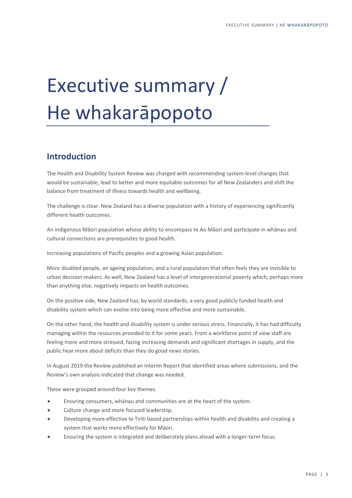# Executive summary / He whakarāpopoto

# **Introduction**

The Health and Disability System Review was charged with recommending system-level changes that would be sustainable, lead to better and more equitable outcomes for all New Zealanders and shift the balance from treatment of illness towards health and wellbeing.

The challenge is clear. New Zealand has a diverse population with a history of experiencing significantly different health outcomes.

An indigenous Māori population whose ability to encompass te Ao Māori and participate in whānau and cultural connections are prerequisites to good health.

Increasing populations of Pacific peoples and a growing Asian population.

More disabled people, an ageing population, and a rural population that often feels they are invisible to urban decision-makers. As well, New Zealand has a level of intergenerational poverty which, perhaps more than anything else, negatively impacts on health outcomes.

On the positive side, New Zealand has, by world standards, a very good publicly funded health and disability system which can evolve into being more effective and more sustainable.

On the other hand, the health and disability system is under serious stress. Financially, it has had difficulty managing within the resources provided to it for some years. From a workforce point of view staff are feeling more and more stressed, facing increasing demands and significant shortages in supply, and the public hear more about deficits than they do good news stories.

In August 2019 the Review published an Interim Report that identified areas where submissions, and the Review's own analysis indicated that change was needed.

These were grouped around four key themes.

- Ensuring consumers, whānau and communities are at the heart of the system.
- Culture change and more focused leadership.
- Developing more effective te Tiriti based partnerships within health and disability and creating a system that works more effectively for Māori.
- Ensuring the system is integrated and deliberately plans ahead with a longer-term focus.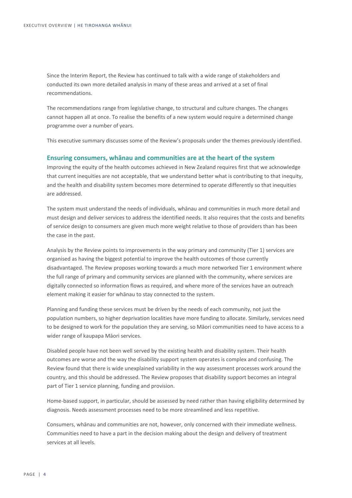Since the Interim Report, the Review has continued to talk with a wide range of stakeholders and conducted its own more detailed analysis in many of these areas and arrived at a set of final recommendations.

The recommendations range from legislative change, to structural and culture changes. The changes cannot happen all at once. To realise the benefits of a new system would require a determined change programme over a number of years.

This executive summary discusses some of the Review's proposals under the themes previously identified.

### **Ensuring consumers, whānau and communities are at the heart of the system**

Improving the equity of the health outcomes achieved in New Zealand requires first that we acknowledge that current inequities are not acceptable, that we understand better what is contributing to that inequity, and the health and disability system becomes more determined to operate differently so that inequities are addressed.

The system must understand the needs of individuals, whānau and communities in much more detail and must design and deliver services to address the identified needs. It also requires that the costs and benefits of service design to consumers are given much more weight relative to those of providers than has been the case in the past.

Analysis by the Review points to improvements in the way primary and community (Tier 1) services are organised as having the biggest potential to improve the health outcomes of those currently disadvantaged. The Review proposes working towards a much more networked Tier 1 environment where the full range of primary and community services are planned with the community, where services are digitally connected so information flows as required, and where more of the services have an outreach element making it easier for whānau to stay connected to the system.

Planning and funding these services must be driven by the needs of each community, not just the population numbers, so higher deprivation localities have more funding to allocate. Similarly, services need to be designed to work for the population they are serving, so Māori communities need to have access to a wider range of kaupapa Māori services.

Disabled people have not been well served by the existing health and disability system. Their health outcomes are worse and the way the disability support system operates is complex and confusing. The Review found that there is wide unexplained variability in the way assessment processes work around the country, and this should be addressed. The Review proposes that disability support becomes an integral part of Tier 1 service planning, funding and provision.

Home-based support, in particular, should be assessed by need rather than having eligibility determined by diagnosis. Needs assessment processes need to be more streamlined and less repetitive.

Consumers, whānau and communities are not, however, only concerned with their immediate wellness. Communities need to have a part in the decision making about the design and delivery of treatment services at all levels.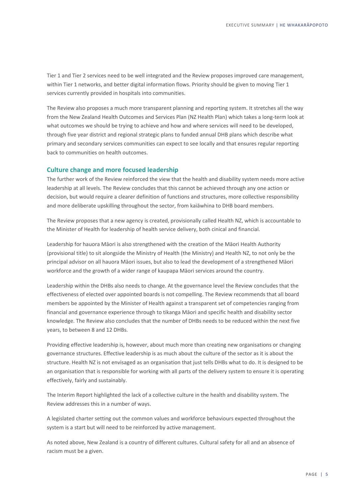Tier 1 and Tier 2 services need to be well integrated and the Review proposes improved care management, within Tier 1 networks, and better digital information flows. Priority should be given to moving Tier 1 services currently provided in hospitals into communities.

The Review also proposes a much more transparent planning and reporting system. It stretches all the way from the New Zealand Health Outcomes and Services Plan (NZ Health Plan) which takes a long-term look at what outcomes we should be trying to achieve and how and where services will need to be developed, through five year district and regional strategic plans to funded annual DHB plans which describe what primary and secondary services communities can expect to see locally and that ensures regular reporting back to communities on health outcomes.

### **Culture change and more focused leadership**

The further work of the Review reinforced the view that the health and disability system needs more active leadership at all levels. The Review concludes that this cannot be achieved through any one action or decision, but would require a clearer definition of functions and structures, more collective responsibility and more deliberate upskilling throughout the sector, from kaiāwhina to DHB board members.

The Review proposes that a new agency is created, provisionally called Health NZ, which is accountable to the Minister of Health for leadership of health service delivery, both cinical and financial.

Leadership for hauora Māori is also strengthened with the creation of the Māori Health Authority (provisional title) to sit alongside the Ministry of Health (the Ministry) and Health NZ, to not only be the principal advisor on all hauora Māori issues, but also to lead the development of a strengthened Māori workforce and the growth of a wider range of kaupapa Māori services around the country.

Leadership within the DHBs also needs to change. At the governance level the Review concludes that the effectiveness of elected over appointed boards is not compelling. The Review recommends that all board members be appointed by the Minister of Health against a transparent set of competencies ranging from financial and governance experience through to tikanga Māori and specific health and disability sector knowledge. The Review also concludes that the number of DHBs needs to be reduced within the next five years, to between 8 and 12 DHBs.

Providing effective leadership is, however, about much more than creating new organisations or changing governance structures. Effective leadership is as much about the culture of the sector as it is about the structure. Health NZ is not envisaged as an organisation that just tells DHBs what to do. It is designed to be an organisation that is responsible for working with all parts of the delivery system to ensure it is operating effectively, fairly and sustainably.

The Interim Report highlighted the lack of a collective culture in the health and disability system. The Review addresses this in a number of ways.

A legislated charter setting out the common values and workforce behaviours expected throughout the system is a start but will need to be reinforced by active management.

As noted above, New Zealand is a country of different cultures. Cultural safety for all and an absence of racism must be a given.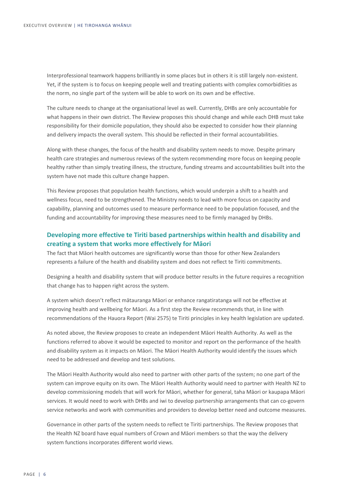Interprofessional teamwork happens brilliantly in some places but in others it is still largely non-existent. Yet, if the system is to focus on keeping people well and treating patients with complex comorbidities as the norm, no single part of the system will be able to work on its own and be effective.

The culture needs to change at the organisational level as well. Currently, DHBs are only accountable for what happens in their own district. The Review proposes this should change and while each DHB must take responsibility for their domicile population, they should also be expected to consider how their planning and delivery impacts the overall system. This should be reflected in their formal accountabilities.

Along with these changes, the focus of the health and disability system needs to move. Despite primary health care strategies and numerous reviews of the system recommending more focus on keeping people healthy rather than simply treating illness, the structure, funding streams and accountabilities built into the system have not made this culture change happen.

This Review proposes that population health functions, which would underpin a shift to a health and wellness focus, need to be strengthened. The Ministry needs to lead with more focus on capacity and capability, planning and outcomes used to measure performance need to be population focused, and the funding and accountability for improving these measures need to be firmly managed by DHBs.

# **Developing more effective te Tiriti based partnerships within health and disability and creating a system that works more effectively for Māori**

The fact that Māori health outcomes are significantly worse than those for other New Zealanders represents a failure of the health and disability system and does not reflect te Tiriti commitments.

Designing a health and disability system that will produce better results in the future requires a recognition that change has to happen right across the system.

A system which doesn't reflect mātauranga Māori or enhance rangatiratanga will not be effective at improving health and wellbeing for Māori. As a first step the Review recommends that, in line with recommendations of the Hauora Report (Wai 2575) te Tiriti principles in key health legislation are updated.

As noted above, the Review proposes to create an independent Māori Health Authority. As well as the functions referred to above it would be expected to monitor and report on the performance of the health and disability system as it impacts on Māori. The Māori Health Authority would identify the issues which need to be addressed and develop and test solutions.

The Māori Health Authority would also need to partner with other parts of the system; no one part of the system can improve equity on its own. The Māori Health Authority would need to partner with Health NZ to develop commissioning models that will work for Māori, whether for general, taha Māori or kaupapa Māori services. It would need to work with DHBs and iwi to develop partnership arrangements that can co-govern service networks and work with communities and providers to develop better need and outcome measures.

Governance in other parts of the system needs to reflect te Tiriti partnerships. The Review proposes that the Health NZ board have equal numbers of Crown and Māori members so that the way the delivery system functions incorporates different world views.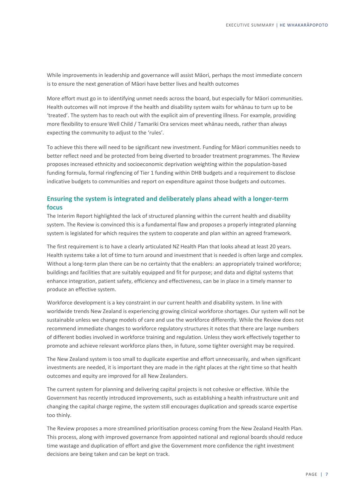While improvements in leadership and governance will assist Māori, perhaps the most immediate concern is to ensure the next generation of Māori have better lives and health outcomes

More effort must go in to identifying unmet needs across the board, but especially for Māori communities. Health outcomes will not improve if the health and disability system waits for whānau to turn up to be 'treated'. The system has to reach out with the explicit aim of preventing illness. For example, providing more flexibility to ensure Well Child / Tamariki Ora services meet whānau needs, rather than always expecting the community to adjust to the 'rules'.

To achieve this there will need to be significant new investment. Funding for Māori communities needs to better reflect need and be protected from being diverted to broader treatment programmes. The Review proposes increased ethnicity and socioeconomic deprivation weighting within the population-based funding formula, formal ringfencing of Tier 1 funding within DHB budgets and a requirement to disclose indicative budgets to communities and report on expenditure against those budgets and outcomes.

# **Ensuring the system is integrated and deliberately plans ahead with a longer-term focus**

The Interim Report highlighted the lack of structured planning within the current health and disability system. The Review is convinced this is a fundamental flaw and proposes a properly integrated planning system is legislated for which requires the system to cooperate and plan within an agreed framework.

The first requirement is to have a clearly articulated NZ Health Plan that looks ahead at least 20 years. Health systems take a lot of time to turn around and investment that is needed is often large and complex. Without a long-term plan there can be no certainty that the enablers: an appropriately trained workforce; buildings and facilities that are suitably equipped and fit for purpose; and data and digital systems that enhance integration, patient safety, efficiency and effectiveness, can be in place in a timely manner to produce an effective system.

Workforce development is a key constraint in our current health and disability system. In line with worldwide trends New Zealand is experiencing growing clinical workforce shortages. Our system will not be sustainable unless we change models of care and use the workforce differently. While the Review does not recommend immediate changes to workforce regulatory structures it notes that there are large numbers of different bodies involved in workforce training and regulation. Unless they work effectively together to promote and achieve relevant workforce plans then, in future, some tighter oversight may be required.

The New Zealand system is too small to duplicate expertise and effort unnecessarily, and when significant investments are needed, it is important they are made in the right places at the right time so that health outcomes and equity are improved for all New Zealanders.

The current system for planning and delivering capital projects is not cohesive or effective. While the Government has recently introduced improvements, such as establishing a health infrastructure unit and changing the capital charge regime, the system still encourages duplication and spreads scarce expertise too thinly.

The Review proposes a more streamlined prioritisation process coming from the New Zealand Health Plan. This process, along with improved governance from appointed national and regional boards should reduce time wastage and duplication of effort and give the Government more confidence the right investment decisions are being taken and can be kept on track.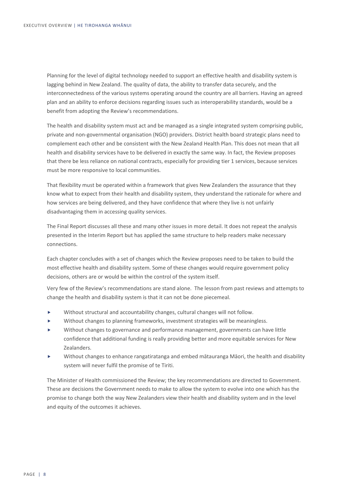Planning for the level of digital technology needed to support an effective health and disability system is lagging behind in New Zealand. The quality of data, the ability to transfer data securely, and the interconnectedness of the various systems operating around the country are all barriers. Having an agreed plan and an ability to enforce decisions regarding issues such as interoperability standards, would be a benefit from adopting the Review's recommendations.

The health and disability system must act and be managed as a single integrated system comprising public, private and non-governmental organisation (NGO) providers. District health board strategic plans need to complement each other and be consistent with the New Zealand Health Plan. This does not mean that all health and disability services have to be delivered in exactly the same way. In fact, the Review proposes that there be less reliance on national contracts, especially for providing tier 1 services, because services must be more responsive to local communities.

That flexibility must be operated within a framework that gives New Zealanders the assurance that they know what to expect from their health and disability system, they understand the rationale for where and how services are being delivered, and they have confidence that where they live is not unfairly disadvantaging them in accessing quality services.

The Final Report discusses all these and many other issues in more detail. It does not repeat the analysis presented in the Interim Report but has applied the same structure to help readers make necessary connections.

Each chapter concludes with a set of changes which the Review proposes need to be taken to build the most effective health and disability system. Some of these changes would require government policy decisions, others are or would be within the control of the system itself.

Very few of the Review's recommendations are stand alone. The lesson from past reviews and attempts to change the health and disability system is that it can not be done piecemeal.

- Without structural and accountability changes, cultural changes will not follow.
- Without changes to planning frameworks, investment strategies will be meaningless.
- Without changes to governance and performance management, governments can have little confidence that additional funding is really providing better and more equitable services for New Zealanders.
- Without changes to enhance rangatiratanga and embed mātauranga Māori, the health and disability system will never fulfil the promise of te Tiriti.

The Minister of Health commissioned the Review; the key recommendations are directed to Government. These are decisions the Government needs to make to allow the system to evolve into one which has the promise to change both the way New Zealanders view their health and disability system and in the level and equity of the outcomes it achieves.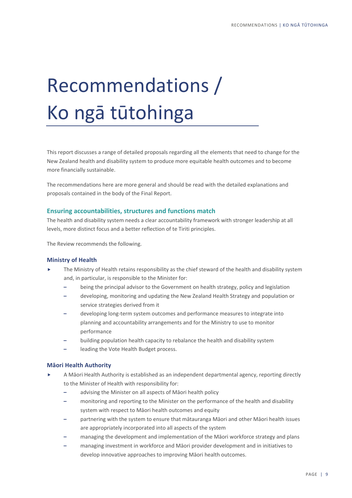# Recommendations / Ko ngā tūtohinga

This report discusses a range of detailed proposals regarding all the elements that need to change for the New Zealand health and disability system to produce more equitable health outcomes and to become more financially sustainable.

The recommendations here are more general and should be read with the detailed explanations and proposals contained in the body of the Final Report.

# **Ensuring accountabilities, structures and functions match**

The health and disability system needs a clear accountability framework with stronger leadership at all levels, more distinct focus and a better reflection of te Tiriti principles.

The Review recommends the following.

### **Ministry of Health**

- The Ministry of Health retains responsibility as the chief steward of the health and disability system and, in particular, is responsible to the Minister for:
	- **–** being the principal advisor to the Government on health strategy, policy and legislation
	- **–** developing, monitoring and updating the New Zealand Health Strategy and population or service strategies derived from it
	- **–** developing long-term system outcomes and performance measures to integrate into planning and accountability arrangements and for the Ministry to use to monitor performance
	- **–** building population health capacity to rebalance the health and disability system
	- **–** leading the Vote Health Budget process.

## **Māori Health Authority**

- A Māori Health Authority is established as an independent departmental agency, reporting directly to the Minister of Health with responsibility for:
	- **–** advising the Minister on all aspects of Māori health policy
	- **–** monitoring and reporting to the Minister on the performance of the health and disability system with respect to Māori health outcomes and equity
	- **–** partnering with the system to ensure that mātauranga Māori and other Māori health issues are appropriately incorporated into all aspects of the system
	- **–** managing the development and implementation of the Māori workforce strategy and plans
	- **–** managing investment in workforce and Māori provider development and in initiatives to develop innovative approaches to improving Māori health outcomes.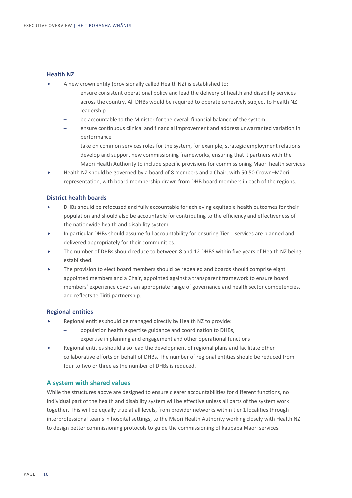### **Health NZ**

- A new crown entity (provisionally called Health NZ) is established to:
	- **–** ensure consistent operational policy and lead the delivery of health and disability services across the country. All DHBs would be required to operate cohesively subject to Health NZ leadership
	- **–** be accountable to the Minister for the overall financial balance of the system
	- **–** ensure continuous clinical and financial improvement and address unwarranted variation in performance
	- **–** take on common services roles for the system, for example, strategic employment relations
	- **–** develop and support new commissioning frameworks, ensuring that it partners with the Māori Health Authority to include specific provisions for commissioning Māori health services
- Health NZ should be governed by a board of 8 members and a Chair, with 50:50 Crown–Māori representation, with board membership drawn from DHB board members in each of the regions.

## **District health boards**

- DHBs should be refocused and fully accountable for achieving equitable health outcomes for their population and should also be accountable for contributing to the efficiency and effectiveness of the nationwide health and disability system.
- In particular DHBs should assume full accountability for ensuring Tier 1 services are planned and delivered appropriately for their communities.
- The number of DHBs should reduce to between 8 and 12 DHBS within five years of Health NZ being established.
- The provision to elect board members should be repealed and boards should comprise eight appointed members and a Chair, appointed against a transparent framework to ensure board members' experience covers an appropriate range of governance and health sector competencies, and reflects te Tiriti partnership.

### **Regional entities**

- Regional entities should be managed directly by Health NZ to provide:
	- **–** population health expertise guidance and coordination to DHBs,
	- **–** expertise in planning and engagement and other operational functions
- Regional entities should also lead the development of regional plans and facilitate other collaborative efforts on behalf of DHBs. The number of regional entities should be reduced from four to two or three as the number of DHBs is reduced.

# **A system with shared values**

While the structures above are designed to ensure clearer accountabilities for different functions, no individual part of the health and disability system will be effective unless all parts of the system work together. This will be equally true at all levels, from provider networks within tier 1 localities through interprofessional teams in hospital settings, to the Māori Health Authority working closely with Health NZ to design better commissioning protocols to guide the commissioning of kaupapa Māori services.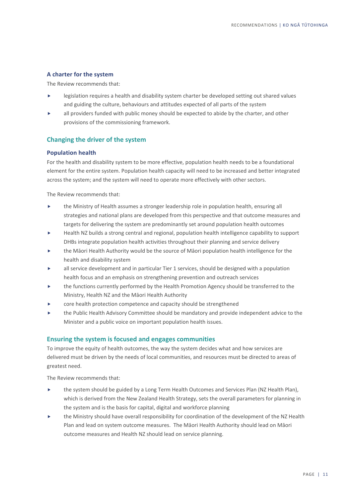### **A charter for the system**

The Review recommends that:

- legislation requires a health and disability system charter be developed setting out shared values and guiding the culture, behaviours and attitudes expected of all parts of the system
- all providers funded with public money should be expected to abide by the charter, and other provisions of the commissioning framework.

# **Changing the driver of the system**

## **Population health**

For the health and disability system to be more effective, population health needs to be a foundational element for the entire system. Population health capacity will need to be increased and better integrated across the system; and the system will need to operate more effectively with other sectors.

The Review recommends that:

- the Ministry of Health assumes a stronger leadership role in population health, ensuring all strategies and national plans are developed from this perspective and that outcome measures and targets for delivering the system are predominantly set around population health outcomes
- Health NZ builds a strong central and regional, population health intelligence capability to support DHBs integrate population health activities throughout their planning and service delivery
- the Māori Health Authority would be the source of Māori population health intelligence for the health and disability system
- all service development and in particular Tier 1 services, should be designed with a population health focus and an emphasis on strengthening prevention and outreach services
- the functions currently performed by the Health Promotion Agency should be transferred to the Ministry, Health NZ and the Māori Health Authority
- core health protection competence and capacity should be strengthened
- the Public Health Advisory Committee should be mandatory and provide independent advice to the Minister and a public voice on important population health issues.

# **Ensuring the system is focused and engages communities**

To improve the equity of health outcomes, the way the system decides what and how services are delivered must be driven by the needs of local communities, and resources must be directed to areas of greatest need.

- $\triangleright$  the system should be guided by a Long Term Health Outcomes and Services Plan (NZ Health Plan), which is derived from the New Zealand Health Strategy, sets the overall parameters for planning in the system and is the basis for capital, digital and workforce planning
- the Ministry should have overall responsibility for coordination of the development of the NZ Health Plan and lead on system outcome measures. The Māori Health Authority should lead on Māori outcome measures and Health NZ should lead on service planning.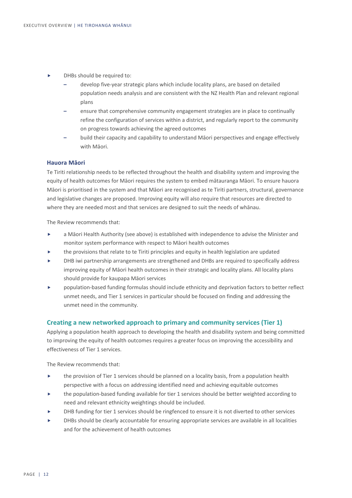- DHBs should be required to:
	- **–** develop five-year strategic plans which include locality plans, are based on detailed population needs analysis and are consistent with the NZ Health Plan and relevant regional plans
	- **–** ensure that comprehensive community engagement strategies are in place to continually refine the configuration of services within a district, and regularly report to the community on progress towards achieving the agreed outcomes
	- **–** build their capacity and capability to understand Māori perspectives and engage effectively with Māori.

### **Hauora Māori**

Te Tiriti relationship needs to be reflected throughout the health and disability system and improving the equity of health outcomes for Māori requires the system to embed mātauranga Māori. To ensure hauora Māori is prioritised in the system and that Māori are recognised as te Tiriti partners, structural, governance and legislative changes are proposed. Improving equity will also require that resources are directed to where they are needed most and that services are designed to suit the needs of whānau.

The Review recommends that:

- a Māori Health Authority (see above) is established with independence to advise the Minister and monitor system performance with respect to Māori health outcomes
- the provisions that relate to te Tiriti principles and equity in health legislation are updated
- DHB iwi partnership arrangements are strengthened and DHBs are required to specifically address improving equity of Māori health outcomes in their strategic and locality plans. All locality plans should provide for kaupapa Māori services
- population-based funding formulas should include ethnicity and deprivation factors to better reflect unmet needs, and Tier 1 services in particular should be focused on finding and addressing the unmet need in the community.

### **Creating a new networked approach to primary and community services (Tier 1)**

Applying a population health approach to developing the health and disability system and being committed to improving the equity of health outcomes requires a greater focus on improving the accessibility and effectiveness of Tier 1 services.

- $\blacktriangleright$  the provision of Tier 1 services should be planned on a locality basis, from a population health perspective with a focus on addressing identified need and achieving equitable outcomes
- the population-based funding available for tier 1 services should be better weighted according to need and relevant ethnicity weightings should be included.
- DHB funding for tier 1 services should be ringfenced to ensure it is not diverted to other services
- DHBs should be clearly accountable for ensuring appropriate services are available in all localities and for the achievement of health outcomes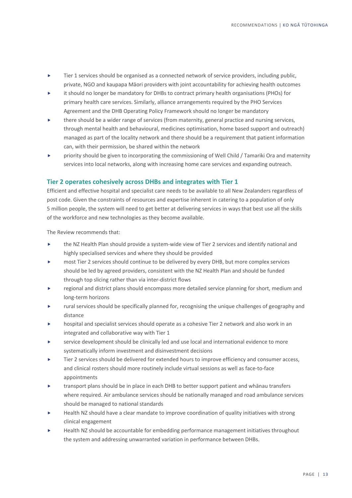- Tier 1 services should be organised as a connected network of service providers, including public, private, NGO and kaupapa Māori providers with joint accountability for achieving health outcomes
- it should no longer be mandatory for DHBs to contract primary health organisations (PHOs) for primary health care services. Similarly, alliance arrangements required by the PHO Services Agreement and the DHB Operating Policy Framework should no longer be mandatory
- there should be a wider range of services (from maternity, general practice and nursing services, through mental health and behavioural, medicines optimisation, home based support and outreach) managed as part of the locality network and there should be a requirement that patient information can, with their permission, be shared within the network
- priority should be given to incorporating the commissioning of Well Child / Tamariki Ora and maternity services into local networks, along with increasing home care services and expanding outreach.

# **Tier 2 operates cohesively across DHBs and integrates with Tier 1**

Efficient and effective hospital and specialist care needs to be available to all New Zealanders regardless of post code. Given the constraints of resources and expertise inherent in catering to a population of only 5 million people, the system will need to get better at delivering services in ways that best use all the skills of the workforce and new technologies as they become available.

- the NZ Health Plan should provide a system-wide view of Tier 2 services and identify national and highly specialised services and where they should be provided
- most Tier 2 services should continue to be delivered by every DHB, but more complex services should be led by agreed providers, consistent with the NZ Health Plan and should be funded through top slicing rather than via inter-district flows
- regional and district plans should encompass more detailed service planning for short, medium and long-term horizons
- rural services should be specifically planned for, recognising the unique challenges of geography and distance
- hospital and specialist services should operate as a cohesive Tier 2 network and also work in an integrated and collaborative way with Tier 1
- service development should be clinically led and use local and international evidence to more systematically inform investment and disinvestment decisions
- Tier 2 services should be delivered for extended hours to improve efficiency and consumer access, and clinical rosters should more routinely include virtual sessions as well as face-to-face appointments
- transport plans should be in place in each DHB to better support patient and whānau transfers where required. Air ambulance services should be nationally managed and road ambulance services should be managed to national standards
- Health NZ should have a clear mandate to improve coordination of quality initiatives with strong clinical engagement
- Health NZ should be accountable for embedding performance management initiatives throughout the system and addressing unwarranted variation in performance between DHBs.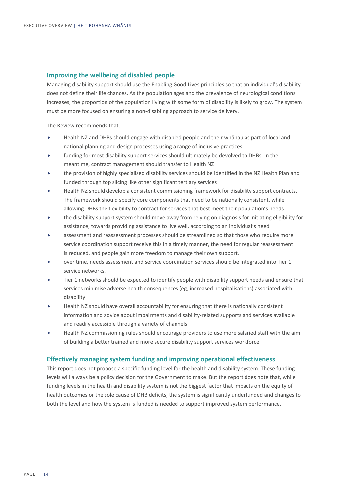## **Improving the wellbeing of disabled people**

Managing disability support should use the Enabling Good Lives principles so that an individual's disability does not define their life chances. As the population ages and the prevalence of neurological conditions increases, the proportion of the population living with some form of disability is likely to grow. The system must be more focused on ensuring a non-disabling approach to service delivery.

The Review recommends that:

- Health NZ and DHBs should engage with disabled people and their whānau as part of local and national planning and design processes using a range of inclusive practices
- funding for most disability support services should ultimately be devolved to DHBs. In the meantime, contract management should transfer to Health NZ
- the provision of highly specialised disability services should be identified in the NZ Health Plan and funded through top slicing like other significant tertiary services
- Health NZ should develop a consistent commissioning framework for disability support contracts. The framework should specify core components that need to be nationally consistent, while allowing DHBs the flexibility to contract for services that best meet their population's needs
- the disability support system should move away from relying on diagnosis for initiating eligibility for assistance, towards providing assistance to live well, according to an individual's need
- assessment and reassessment processes should be streamlined so that those who require more service coordination support receive this in a timely manner, the need for regular reassessment is reduced, and people gain more freedom to manage their own support.
- over time, needs assessment and service coordination services should be integrated into Tier 1 service networks.
- Tier 1 networks should be expected to identify people with disability support needs and ensure that services minimise adverse health consequences (eg, increased hospitalisations) associated with disability
- Health NZ should have overall accountability for ensuring that there is nationally consistent information and advice about impairments and disability-related supports and services available and readily accessible through a variety of channels
- Health NZ commissioning rules should encourage providers to use more salaried staff with the aim of building a better trained and more secure disability support services workforce.

### **Effectively managing system funding and improving operational effectiveness**

This report does not propose a specific funding level for the health and disability system. These funding levels will always be a policy decision for the Government to make. But the report does note that, while funding levels in the health and disability system is not the biggest factor that impacts on the equity of health outcomes or the sole cause of DHB deficits, the system is significantly underfunded and changes to both the level and how the system is funded is needed to support improved system performance.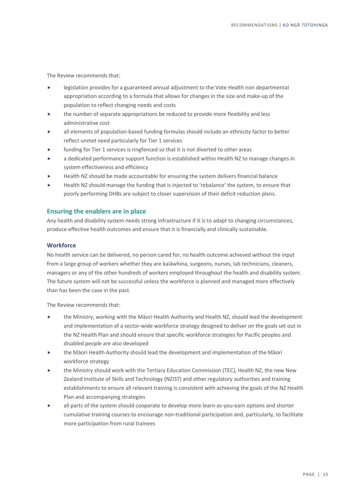The Review recommends that:

- legislation provides for a guaranteed annual adjustment to the Vote Health non departmental appropriation according to a formula that allows for changes in the size and make-up of the population to reflect changing needs and costs
- the number of separate appropriations be reduced to provide more flexibility and less administrative cost
- all elements of population-based funding formulas should include an ethnicity factor to better reflect unmet need particularly for Tier 1 services
- funding for Tier 1 services is ringfenced so that it is not diverted to other areas
- a dedicated performance support function is established within Health NZ to manage changes in system effectiveness and efficiency
- Health NZ should be made accountable for ensuring the system delivers financial balance
- Health NZ should manage the funding that is injected to 'rebalance' the system, to ensure that poorly performing DHBs are subject to closer supervision of their deficit reduction plans.

### **Ensuring the enablers are in place**

Any health and disability system needs strong infrastructure if it is to adapt to changing circumstances, produce effective health outcomes and ensure that it is financially and clinically sustainable.

#### **Workforce**

No health service can be delivered, no person cared for, no health outcome achieved without the input from a large group of workers whether they are kaiāwhina, surgeons, nurses, lab technicians, cleaners, managers or any of the other hundreds of workers employed throughout the health and disability system. The future system will not be successful unless the workforce is planned and managed more effectively than has been the case in the past.

- the Ministry, working with the Māori Health Authority and Health NZ, should lead the development and implementation of a sector-wide workforce strategy designed to deliver on the goals set out in the NZ Health Plan and should ensure that specific workforce strategies for Pacific peoples and disabled people are also developed
- the Māori Health Authority should lead the development and implementation of the Māori workforce strategy
- the Ministry should work with the Tertiary Education Commission (TEC), Health NZ, the new New Zealand Institute of Skills and Technology (NZIST) and other regulatory authorities and training establishments to ensure all relevant training is consistent with achieving the goals of the NZ Health Plan and accompanying strategies
- all parts of the system should cooperate to develop more learn-as-you-earn options and shorter cumulative training courses to encourage non-traditional participation and, particularly, to facilitate more participation from rural trainees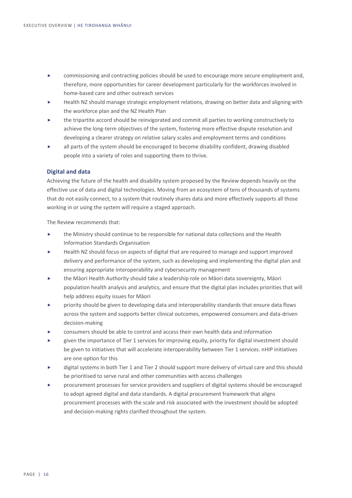- commissioning and contracting policies should be used to encourage more secure employment and, therefore, more opportunities for career development particularly for the workforces involved in home-based care and other outreach services
- Health NZ should manage strategic employment relations, drawing on better data and aligning with the workforce plan and the NZ Health Plan
- the tripartite accord should be reinvigorated and commit all parties to working constructively to achieve the long-term objectives of the system, fostering more effective dispute resolution and developing a clearer strategy on relative salary scales and employment terms and conditions
- all parts of the system should be encouraged to become disability confident, drawing disabled people into a variety of roles and supporting them to thrive.

### **Digital and data**

Achieving the future of the health and disability system proposed by the Review depends heavily on the effective use of data and digital technologies. Moving from an ecosystem of tens of thousands of systems that do not easily connect, to a system that routinely shares data and more effectively supports all those working in or using the system will require a staged approach.

- the Ministry should continue to be responsible for national data collections and the Health Information Standards Organisation
- Health NZ should focus on aspects of digital that are required to manage and support improved delivery and performance of the system, such as developing and implementing the digital plan and ensuring appropriate interoperability and cybersecurity management
- the Māori Health Authority should take a leadership role on Māori data sovereignty, Māori population health analysis and analytics, and ensure that the digital plan includes priorities that will help address equity issues for Māori
- priority should be given to developing data and interoperability standards that ensure data flows across the system and supports better clinical outcomes, empowered consumers and data-driven decision-making
- consumers should be able to control and access their own health data and information
- given the importance of Tier 1 services for improving equity, priority for digital investment should be given to initiatives that will accelerate interoperability between Tier 1 services. nHIP initiatives are one option for this
- digital systems in both Tier 1 and Tier 2 should support more delivery of virtual care and this should be prioritised to serve rural and other communities with access challenges
- procurement processes for service providers and suppliers of digital systems should be encouraged to adopt agreed digital and data standards. A digital procurement framework that aligns procurement processes with the scale and risk associated with the investment should be adopted and decision-making rights clarified throughout the system.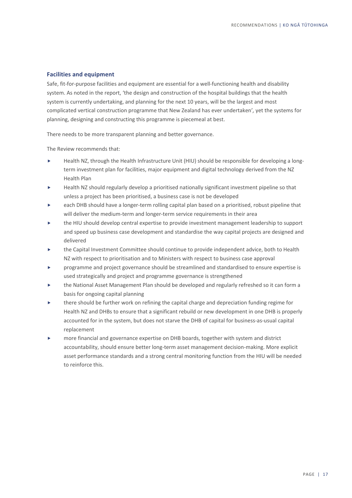### **Facilities and equipment**

Safe, fit-for-purpose facilities and equipment are essential for a well-functioning health and disability system. As noted in the report, 'the design and construction of the hospital buildings that the health system is currently undertaking, and planning for the next 10 years, will be the largest and most complicated vertical construction programme that New Zealand has ever undertaken'*,* yet the systems for planning, designing and constructing this programme is piecemeal at best.

There needs to be more transparent planning and better governance.

- Health NZ, through the Health Infrastructure Unit (HIU) should be responsible for developing a longterm investment plan for facilities, major equipment and digital technology derived from the NZ Health Plan
- Health NZ should regularly develop a prioritised nationally significant investment pipeline so that unless a project has been prioritised, a business case is not be developed
- each DHB should have a longer-term rolling capital plan based on a prioritised, robust pipeline that will deliver the medium-term and longer-term service requirements in their area
- the HIU should develop central expertise to provide investment management leadership to support and speed up business case development and standardise the way capital projects are designed and delivered
- the Capital Investment Committee should continue to provide independent advice, both to Health NZ with respect to prioritisation and to Ministers with respect to business case approval
- programme and project governance should be streamlined and standardised to ensure expertise is used strategically and project and programme governance is strengthened
- the National Asset Management Plan should be developed and regularly refreshed so it can form a basis for ongoing capital planning
- there should be further work on refining the capital charge and depreciation funding regime for Health NZ and DHBs to ensure that a significant rebuild or new development in one DHB is properly accounted for in the system, but does not starve the DHB of capital for business-as-usual capital replacement
- more financial and governance expertise on DHB boards, together with system and district accountability, should ensure better long-term asset management decision-making. More explicit asset performance standards and a strong central monitoring function from the HIU will be needed to reinforce this.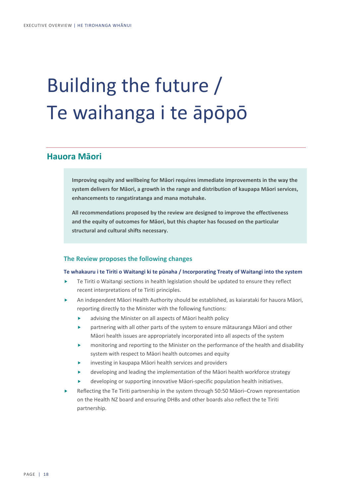# Building the future / Te waihanga i te āpōpō

# **Hauora Māori**

**Improving equity and wellbeing for Māori requires immediate improvements in the way the system delivers for Māori, a growth in the range and distribution of kaupapa Māori services, enhancements to rangatiratanga and mana motuhake.** 

**All recommendations proposed by the review are designed to improve the effectiveness and the equity of outcomes for Māori, but this chapter has focused on the particular structural and cultural shifts necessary.**

### **The Review proposes the following changes**

#### **Te whakauru i te Tiriti o Waitangi ki te pūnaha / Incorporating Treaty of Waitangi into the system**

- Te Tiriti o Waitangi sections in health legislation should be updated to ensure they reflect recent interpretations of te Tiriti principles.
- An independent Māori Health Authority should be established, as kaiarataki for hauora Māori, reporting directly to the Minister with the following functions:
	- advising the Minister on all aspects of Māori health policy
	- partnering with all other parts of the system to ensure mātauranga Māori and other Māori health issues are appropriately incorporated into all aspects of the system
	- monitoring and reporting to the Minister on the performance of the health and disability system with respect to Māori health outcomes and equity
	- investing in kaupapa Māori health services and providers
	- developing and leading the implementation of the Māori health workforce strategy
	- developing or supporting innovative Māori-specific population health initiatives.
- Reflecting the Te Tiriti partnership in the system through 50:50 Māori–Crown representation on the Health NZ board and ensuring DHBs and other boards also reflect the te Tiriti partnership.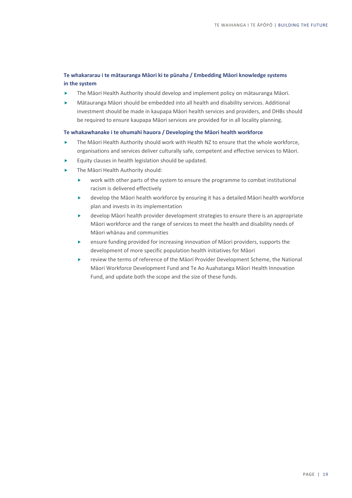# **Te whakararau i te mātauranga Māori ki te pūnaha / Embedding Māori knowledge systems in the system**

- The Māori Health Authority should develop and implement policy on mātauranga Māori.
- Mātauranga Māori should be embedded into all health and disability services. Additional investment should be made in kaupapa Māori health services and providers, and DHBs should be required to ensure kaupapa Māori services are provided for in all locality planning.

### **Te whakawhanake i te ohumahi hauora / Developing the Māori health workforce**

- The Māori Health Authority should work with Health NZ to ensure that the whole workforce, organisations and services deliver culturally safe, competent and effective services to Māori.
- Equity clauses in health legislation should be updated.
- **Fig. 4** The Māori Health Authority should:
	- work with other parts of the system to ensure the programme to combat institutional racism is delivered effectively
	- develop the Māori health workforce by ensuring it has a detailed Māori health workforce plan and invests in its implementation
	- develop Māori health provider development strategies to ensure there is an appropriate Māori workforce and the range of services to meet the health and disability needs of Māori whānau and communities
	- ensure funding provided for increasing innovation of Māori providers, supports the development of more specific population health initiatives for Māori
	- review the terms of reference of the Māori Provider Development Scheme, the National Māori Workforce Development Fund and Te Ao Auahatanga Māori Health Innovation Fund, and update both the scope and the size of these funds.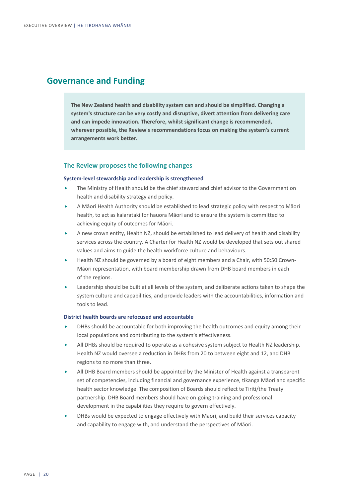# **Governance and Funding**

**The New Zealand health and disability system can and should be simplified. Changing a system's structure can be very costly and disruptive, divert attention from delivering care and can impede innovation. Therefore, whilst significant change is recommended, wherever possible, the Review's recommendations focus on making the system's current arrangements work better.** 

## **The Review proposes the following changes**

#### **System-level stewardship and leadership is strengthened**

- The Ministry of Health should be the chief steward and chief advisor to the Government on health and disability strategy and policy.
- A Māori Health Authority should be established to lead strategic policy with respect to Māori health, to act as kaiarataki for hauora Māori and to ensure the system is committed to achieving equity of outcomes for Māori.
- A new crown entity, Health NZ, should be established to lead delivery of health and disability services across the country. A Charter for Health NZ would be developed that sets out shared values and aims to guide the health workforce culture and behaviours.
- Health NZ should be governed by a board of eight members and a Chair, with 50:50 Crown-Māori representation, with board membership drawn from DHB board members in each of the regions.
- Leadership should be built at all levels of the system, and deliberate actions taken to shape the system culture and capabilities, and provide leaders with the accountabilities, information and tools to lead.

#### **District health boards are refocused and accountable**

- DHBs should be accountable for both improving the health outcomes and equity among their local populations and contributing to the system's effectiveness.
- All DHBs should be required to operate as a cohesive system subject to Health NZ leadership. Health NZ would oversee a reduction in DHBs from 20 to between eight and 12, and DHB regions to no more than three.
- All DHB Board members should be appointed by the Minister of Health against a transparent set of competencies, including financial and governance experience, tikanga Māori and specific health sector knowledge. The composition of Boards should reflect te Tiriti/the Treaty partnership. DHB Board members should have on-going training and professional development in the capabilities they require to govern effectively.
- DHBs would be expected to engage effectively with Māori, and build their services capacity and capability to engage with, and understand the perspectives of Māori.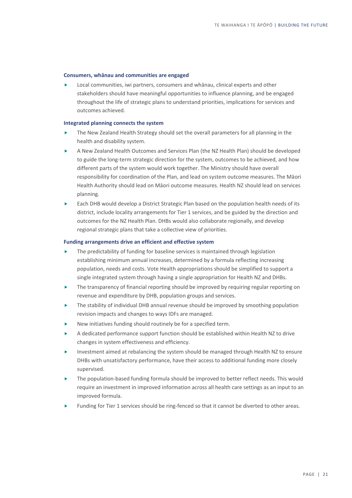#### **Consumers, whānau and communities are engaged**

 Local communities, iwi partners, consumers and whānau, clinical experts and other stakeholders should have meaningful opportunities to influence planning, and be engaged throughout the life of strategic plans to understand priorities, implications for services and outcomes achieved.

#### **Integrated planning connects the system**

- The New Zealand Health Strategy should set the overall parameters for all planning in the health and disability system.
- A New Zealand Health Outcomes and Services Plan (the NZ Health Plan) should be developed to guide the long-term strategic direction for the system, outcomes to be achieved, and how different parts of the system would work together. The Ministry should have overall responsibility for coordination of the Plan, and lead on system outcome measures. The Māori Health Authority should lead on Māori outcome measures. Health NZ should lead on services planning.
- Each DHB would develop a District Strategic Plan based on the population health needs of its district, include locality arrangements for Tier 1 services, and be guided by the direction and outcomes for the NZ Health Plan. DHBs would also collaborate regionally, and develop regional strategic plans that take a collective view of priorities.

#### **Funding arrangements drive an efficient and effective system**

- The predictability of funding for baseline services is maintained through legislation establishing minimum annual increases, determined by a formula reflecting increasing population, needs and costs. Vote Health appropriations should be simplified to support a single integrated system through having a single appropriation for Health NZ and DHBs.
- The transparency of financial reporting should be improved by requiring regular reporting on revenue and expenditure by DHB, population groups and services.
- The stability of individual DHB annual revenue should be improved by smoothing population revision impacts and changes to ways IDFs are managed.
- New initiatives funding should routinely be for a specified term.
- A dedicated performance support function should be established within Health NZ to drive changes in system effectiveness and efficiency.
- Investment aimed at rebalancing the system should be managed through Health NZ to ensure DHBs with unsatisfactory performance, have their access to additional funding more closely supervised.
- The population-based funding formula should be improved to better reflect needs. This would require an investment in improved information across all health care settings as an input to an improved formula.
- Funding for Tier 1 services should be ring-fenced so that it cannot be diverted to other areas.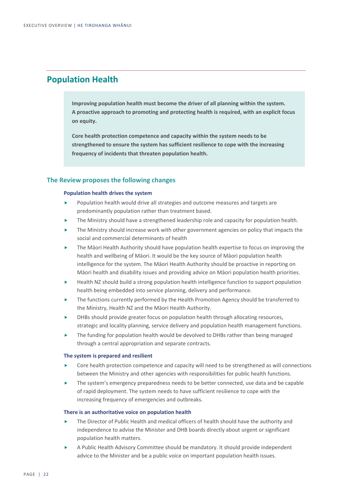# **Population Health**

**Improving population health must become the driver of all planning within the system. A proactive approach to promoting and protecting health is required, with an explicit focus on equity.**

**Core health protection competence and capacity within the system needs to be strengthened to ensure the system has sufficient resilience to cope with the increasing frequency of incidents that threaten population health.**

## **The Review proposes the following changes**

#### **Population health drives the system**

- Population health would drive all strategies and outcome measures and targets are predominantly population rather than treatment based.
- The Ministry should have a strengthened leadership role and capacity for population health.
- The Ministry should increase work with other government agencies on policy that impacts the social and commercial determinants of health
- The Māori Health Authority should have population health expertise to focus on improving the health and wellbeing of Māori. It would be the key source of Māori population health intelligence for the system. The Māori Health Authority should be proactive in reporting on Māori health and disability issues and providing advice on Māori population health priorities.
- Health NZ should build a strong population health intelligence function to support population health being embedded into service planning, delivery and performance.
- The functions currently performed by the Health Promotion Agency should be transferred to the Ministry, Health NZ and the Māori Health Authority.
- DHBs should provide greater focus on population health through allocating resources, strategic and locality planning, service delivery and population health management functions.
- The funding for population health would be devolved to DHBs rather than being managed through a central appropriation and separate contracts.

#### **The system is prepared and resilient**

- Core health protection competence and capacity will need to be strengthened as will connections between the Ministry and other agencies with responsibilities for public health functions.
- The system's emergency preparedness needs to be better connected, use data and be capable of rapid deployment. The system needs to have sufficient resilience to cope with the increasing frequency of emergencies and outbreaks.

#### **There is an authoritative voice on population health**

- The Director of Public Health and medical officers of health should have the authority and independence to advise the Minister and DHB boards directly about urgent or significant population health matters.
- A Public Health Advisory Committee should be mandatory. It should provide independent advice to the Minister and be a public voice on important population health issues.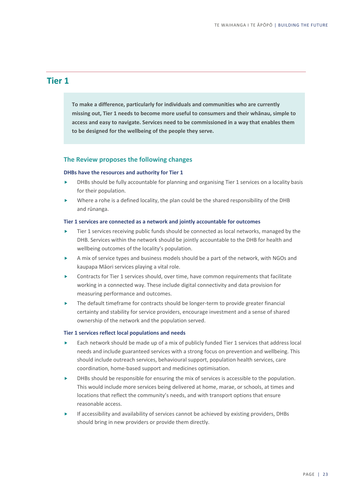# **Tier 1**

**To make a difference, particularly for individuals and communities who are currently missing out, Tier 1 needs to become more useful to consumers and their whānau, simple to access and easy to navigate. Services need to be commissioned in a way that enables them to be designed for the wellbeing of the people they serve.**

### **The Review proposes the following changes**

#### **DHBs have the resources and authority for Tier 1**

- DHBs should be fully accountable for planning and organising Tier 1 services on a locality basis for their population.
- Where a rohe is a defined locality, the plan could be the shared responsibility of the DHB and rūnanga.

#### **Tier 1 services are connected as a network and jointly accountable for outcomes**

- Tier 1 services receiving public funds should be connected as local networks, managed by the DHB. Services within the network should be jointly accountable to the DHB for health and wellbeing outcomes of the locality's population.
- A mix of service types and business models should be a part of the network, with NGOs and kaupapa Māori services playing a vital role.
- Contracts for Tier 1 services should, over time, have common requirements that facilitate working in a connected way. These include digital connectivity and data provision for measuring performance and outcomes.
- The default timeframe for contracts should be longer-term to provide greater financial certainty and stability for service providers, encourage investment and a sense of shared ownership of the network and the population served.

#### **Tier 1 services reflect local populations and needs**

- $\blacktriangleright$  Each network should be made up of a mix of publicly funded Tier 1 services that address local needs and include guaranteed services with a strong focus on prevention and wellbeing. This should include outreach services, behavioural support, population health services, care coordination, home-based support and medicines optimisation.
- DHBs should be responsible for ensuring the mix of services is accessible to the population. This would include more services being delivered at home, marae, or schools, at times and locations that reflect the community's needs, and with transport options that ensure reasonable access.
- If accessibility and availability of services cannot be achieved by existing providers, DHBs should bring in new providers or provide them directly.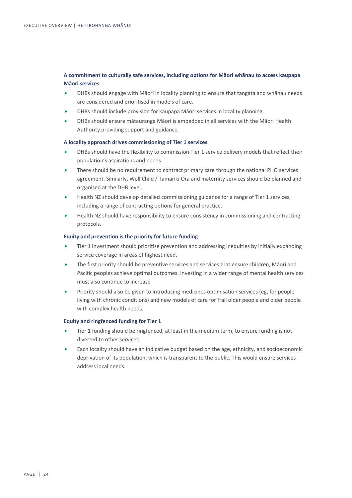# **A commitment to culturally safe services, including options for Māori whānau to access kaupapa Māori services**

- DHBs should engage with Māori in locality planning to ensure that tangata and whānau needs are considered and prioritised in models of care.
- DHBs should include provision for kaupapa Māori services in locality planning.
- DHBs should ensure mātauranga Māori is embedded in all services with the Māori Health Authority providing support and guidance.

#### **A locality approach drives commissioning of Tier 1 services**

- DHBs should have the flexibility to commission Tier 1 service delivery models that reflect their population's aspirations and needs.
- There should be no requirement to contract primary care through the national PHO services agreement. Similarly, Well Child / Tamariki Ora and maternity services should be planned and organised at the DHB level.
- Health NZ should develop detailed commissioning guidance for a range of Tier 1 services, including a range of contracting options for general practice.
- Health NZ should have responsibility to ensure consistency in commissioning and contracting protocols.

#### **Equity and prevention is the priority for future funding**

- Tier 1 investment should prioritise prevention and addressing inequities by initially expanding service coverage in areas of highest need.
- The first priority should be preventive services and services that ensure children, Māori and Pacific peoples achieve optimal outcomes. Investing in a wider range of mental health services must also continue to increase
- Priority should also be given to introducing medicines optimisation services (eg, for people living with chronic conditions) and new models of care for frail older people and older people with complex health needs.

### **Equity and ringfenced funding for Tier 1**

- Tier 1 funding should be ringfenced, at least in the medium term, to ensure funding is not diverted to other services.
- Each locality should have an indicative budget based on the age, ethnicity, and socioeconomic deprivation of its population, which is transparent to the public. This would ensure services address local needs.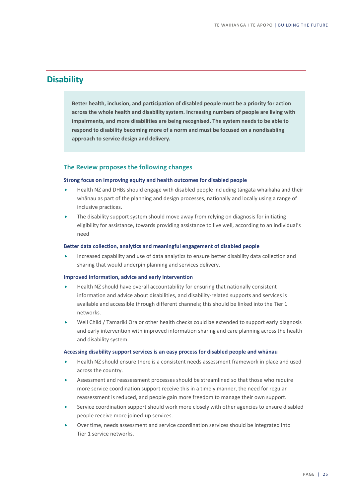# **Disability**

**Better health, inclusion, and participation of disabled people must be a priority for action across the whole health and disability system. Increasing numbers of people are living with impairments, and more disabilities are being recognised. The system needs to be able to respond to disability becoming more of a norm and must be focused on a nondisabling approach to service design and delivery.**

## **The Review proposes the following changes**

#### **Strong focus on improving equity and health outcomes for disabled people**

- Health NZ and DHBs should engage with disabled people including tāngata whaikaha and their whānau as part of the planning and design processes, nationally and locally using a range of inclusive practices.
- The disability support system should move away from relying on diagnosis for initiating eligibility for assistance, towards providing assistance to live well, according to an individual's need

#### **Better data collection, analytics and meaningful engagement of disabled people**

 Increased capability and use of data analytics to ensure better disability data collection and sharing that would underpin planning and services delivery.

#### **Improved information, advice and early intervention**

- Health NZ should have overall accountability for ensuring that nationally consistent information and advice about disabilities, and disability-related supports and services is available and accessible through different channels; this should be linked into the Tier 1 networks.
- Well Child / Tamariki Ora or other health checks could be extended to support early diagnosis and early intervention with improved information sharing and care planning across the health and disability system.

#### **Accessing disability support services is an easy process for disabled people and whānau**

- Health NZ should ensure there is a consistent needs assessment framework in place and used across the country.
- Assessment and reassessment processes should be streamlined so that those who require more service coordination support receive this in a timely manner, the need for regular reassessment is reduced, and people gain more freedom to manage their own support.
- Service coordination support should work more closely with other agencies to ensure disabled people receive more joined-up services.
- Over time, needs assessment and service coordination services should be integrated into Tier 1 service networks.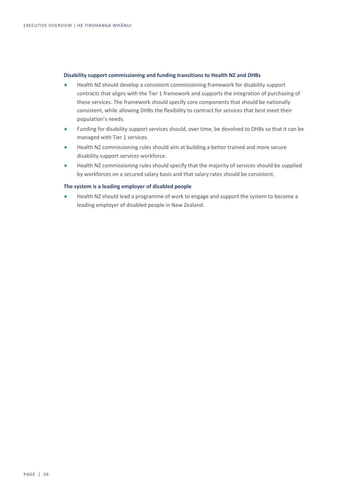#### **Disability support commissioning and funding transitions to Health NZ and DHBs**

- Health NZ should develop a consistent commissioning framework for disability support contracts that aligns with the Tier 1 framework and supports the integration of purchasing of these services. The framework should specify core components that should be nationally consistent, while allowing DHBs the flexibility to contract for services that best meet their population's needs.
- Funding for disability support services should, over time, be devolved to DHBs so that it can be managed with Tier 1 services.
- ► Health NZ commissioning rules should aim at building a better trained and more secure disability support services workforce.
- $\blacktriangleright$  Health NZ commissioning rules should specify that the majority of services should be supplied by workforces on a secured salary basis and that salary rates should be consistent.

### **The system is a leading employer of disabled people**

 Health NZ should lead a programme of work to engage and support the system to become a leading employer of disabled people in New Zealand.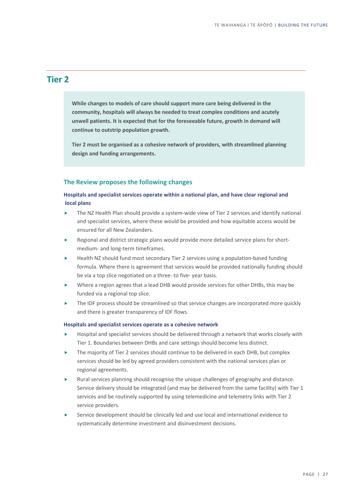# **Tier 2**

**While changes to models of care should support more care being delivered in the community, hospitals will always be needed to treat complex conditions and acutely unwell patients. It is expected that for the foreseeable future, growth in demand will continue to outstrip population growth.** 

**Tier 2 must be organised as a cohesive network of providers, with streamlined planning design and funding arrangements.**

#### **The Review proposes the following changes**

# **Hospitals and specialist services operate within a national plan, and have clear regional and local plans**

- The NZ Health Plan should provide a system-wide view of Tier 2 services and identify national and specialist services, where these would be provided and how equitable access would be ensured for all New Zealanders.
- Regional and district strategic plans would provide more detailed service plans for shortmedium- and long-term timeframes.
- Health NZ should fund most secondary Tier 2 services using a population-based funding formula. Where there is agreement that services would be provided nationally funding should be via a top slice negotiated on a three- to five- year basis.
- Where a region agrees that a lead DHB would provide services for other DHBs, this may be funded via a regional top slice.
- The IDF process should be streamlined so that service changes are incorporated more quickly and there is greater transparency of IDF flows.

#### **Hospitals and specialist services operate as a cohesive network**

- Hospital and specialist services should be delivered through a network that works closely with Tier 1. Boundaries between DHBs and care settings should become less distinct.
- The majority of Tier 2 services should continue to be delivered in each DHB, but complex services should be led by agreed providers consistent with the national services plan or regional agreements.
- Rural services planning should recognise the unique challenges of geography and distance. Service delivery should be integrated (and may be delivered from the same facility) with Tier 1 services and be routinely supported by using telemedicine and telemetry links with Tier 2 service providers.
- Service development should be clinically led and use local and international evidence to systematically determine investment and disinvestment decisions.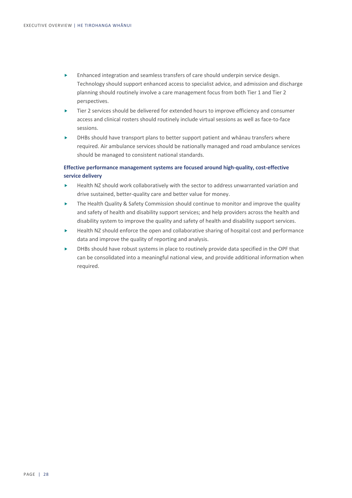- Enhanced integration and seamless transfers of care should underpin service design. Technology should support enhanced access to specialist advice, and admission and discharge planning should routinely involve a care management focus from both Tier 1 and Tier 2 perspectives.
- Tier 2 services should be delivered for extended hours to improve efficiency and consumer access and clinical rosters should routinely include virtual sessions as well as face-to-face sessions.
- DHBs should have transport plans to better support patient and whānau transfers where required. Air ambulance services should be nationally managed and road ambulance services should be managed to consistent national standards.

# **Effective performance management systems are focused around high-quality, cost-effective service delivery**

- Health NZ should work collaboratively with the sector to address unwarranted variation and drive sustained, better-quality care and better value for money.
- ▶ The Health Quality & Safety Commission should continue to monitor and improve the quality and safety of health and disability support services; and help providers across the health and disability system to improve the quality and safety of health and disability support services.
- Health NZ should enforce the open and collaborative sharing of hospital cost and performance data and improve the quality of reporting and analysis.
- DHBs should have robust systems in place to routinely provide data specified in the OPF that can be consolidated into a meaningful national view, and provide additional information when required.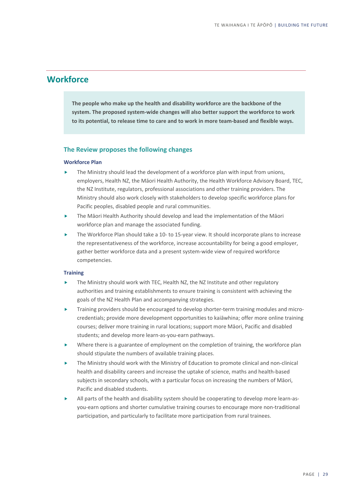# **Workforce**

**The people who make up the health and disability workforce are the backbone of the system. The proposed system-wide changes will also better support the workforce to work to its potential, to release time to care and to work in more team-based and flexible ways.** 

### **The Review proposes the following changes**

#### **Workforce Plan**

- The Ministry should lead the development of a workforce plan with input from unions, employers, Health NZ, the Māori Health Authority, the Health Workforce Advisory Board, TEC, the NZ Institute, regulators, professional associations and other training providers. The Ministry should also work closely with stakeholders to develop specific workforce plans for Pacific peoples, disabled people and rural communities.
- The Māori Health Authority should develop and lead the implementation of the Māori workforce plan and manage the associated funding.
- The Workforce Plan should take a 10- to 15-year view. It should incorporate plans to increase the representativeness of the workforce, increase accountability for being a good employer, gather better workforce data and a present system-wide view of required workforce competencies.

#### **Training**

- The Ministry should work with TEC, Health NZ, the NZ Institute and other regulatory authorities and training establishments to ensure training is consistent with achieving the goals of the NZ Health Plan and accompanying strategies.
- Training providers should be encouraged to develop shorter-term training modules and microcredentials; provide more development opportunities to kaiāwhina; offer more online training courses; deliver more training in rural locations; support more Māori, Pacific and disabled students; and develop more learn-as-you-earn pathways.
- Where there is a guarantee of employment on the completion of training, the workforce plan should stipulate the numbers of available training places.
- The Ministry should work with the Ministry of Education to promote clinical and non-clinical health and disability careers and increase the uptake of science, maths and health-based subjects in secondary schools, with a particular focus on increasing the numbers of Māori, Pacific and disabled students.
- All parts of the health and disability system should be cooperating to develop more learn-asyou-earn options and shorter cumulative training courses to encourage more non-traditional participation, and particularly to facilitate more participation from rural trainees.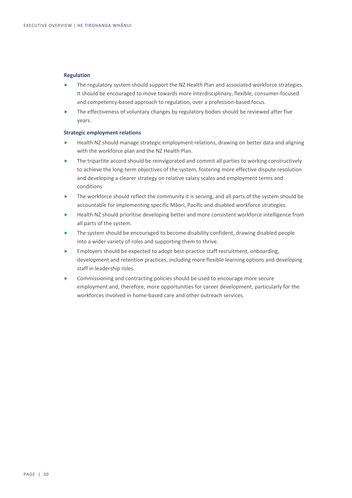#### **Regulation**

- The regulatory system should support the NZ Health Plan and associated workforce strategies. It should be encouraged to move towards more interdisciplinary, flexible, consumer-focused and competency-based approach to regulation, over a profession-based focus.
- The effectiveness of voluntary changes by regulatory bodies should be reviewed after five years.

### **Strategic employment relations**

- Health NZ should manage strategic employment relations, drawing on better data and aligning with the workforce plan and the NZ Health Plan.
- The tripartite accord should be reinvigorated and commit all parties to working constructively to achieve the long-term objectives of the system, fostering more effective dispute resolution and developing a clearer strategy on relative salary scales and employment terms and conditions
- $\blacktriangleright$  The workforce should reflect the community it is serving, and all parts of the system should be accountable for implementing specific Māori, Pacific and disabled workforce strategies.
- Health NZ should prioritise developing better and more consistent workforce intelligence from all parts of the system.
- The system should be encouraged to become disability confident, drawing disabled people into a wider variety of roles and supporting them to thrive.
- Employers should be expected to adopt best-practice staff recruitment, onboarding, development and retention practices, including more flexible learning options and developing staff in leadership roles.
- Commissioning and contracting policies should be used to encourage more secure employment and, therefore, more opportunities for career development, particularly for the workforces involved in home-based care and other outreach services.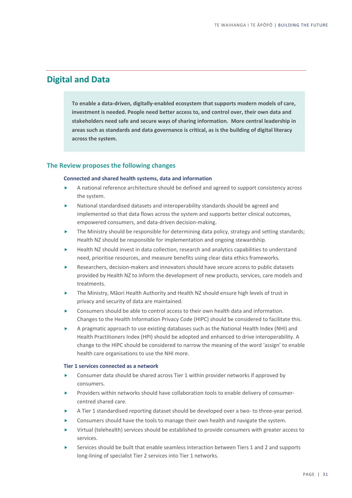# **Digital and Data**

**To enable a data-driven, digitally-enabled ecosystem that supports modern models of care, investment is needed. People need better access to, and control over, their own data and stakeholders need safe and secure ways of sharing information. More central leadership in areas such as standards and data governance is critical, as is the building of digital literacy across the system.**

## **The Review proposes the following changes**

#### **Connected and shared health systems, data and information**

- A national reference architecture should be defined and agreed to support consistency across the system.
- National standardised datasets and interoperability standards should be agreed and implemented so that data flows across the system and supports better clinical outcomes, empowered consumers, and data-driven decision-making.
- The Ministry should be responsible for determining data policy, strategy and setting standards; Health NZ should be responsible for implementation and ongoing stewardship.
- Health NZ should invest in data collection, research and analytics capabilities to understand need, prioritise resources, and measure benefits using clear data ethics frameworks.
- Researchers, decision-makers and innovators should have secure access to public datasets provided by Health NZ to inform the development of new products, services, care models and treatments.
- The Ministry, Māori Health Authority and Health NZ should ensure high levels of trust in privacy and security of data are maintained.
- Consumers should be able to control access to their own health data and information. Changes to the Health Information Privacy Code (HIPC) should be considered to facilitate this.
- A pragmatic approach to use existing databases such as the National Health Index (NHI) and Health Practitioners Index (HPI) should be adopted and enhanced to drive interoperability. A change to the HIPC should be considered to narrow the meaning of the word 'assign' to enable health care organisations to use the NHI more.

#### **Tier 1 services connected as a network**

- Consumer data should be shared across Tier 1 within provider networks if approved by consumers.
- Providers within networks should have collaboration tools to enable delivery of consumercentred shared care.
- A Tier 1 standardised reporting dataset should be developed over a two- to three-year period.
- Consumers should have the tools to manage their own health and navigate the system.
- Virtual (telehealth) services should be established to provide consumers with greater access to services.
- Services should be built that enable seamless interaction between Tiers 1 and 2 and supports long-lining of specialist Tier 2 services into Tier 1 networks.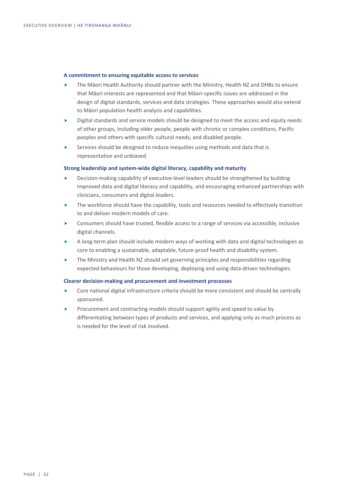#### **A commitment to ensuring equitable access to services**

- The Māori Health Authority should partner with the Ministry, Health NZ and DHBs to ensure that Māori interests are represented and that Māori-specific issues are addressed in the design of digital standards, services and data strategies. These approaches would also extend to Māori population health analysis and capabilities.
- Digital standards and service models should be designed to meet the access and equity needs of other groups, including older people, people with chronic or complex conditions, Pacific peoples and others with specific cultural needs, and disabled people.
- Services should be designed to reduce inequities using methods and data that is representative and unbiased.

#### **Strong leadership and system-wide digital literacy, capability and maturity**

- Decision-making capability of executive-level leaders should be strengthened by building improved data and digital literacy and capability, and encouraging enhanced partnerships with clinicians, consumers and digital leaders.
- $\blacktriangleright$  The workforce should have the capability, tools and resources needed to effectively transition to and deliver modern models of care.
- Consumers should have trusted, flexible access to a range of services via accessible, inclusive digital channels.
- A long-term plan should include modern ways of working with data and digital technologies as core to enabling a sustainable, adaptable, future-proof health and disability system.
- The Ministry and Health NZ should set governing principles and responsibilities regarding expected behaviours for those developing, deploying and using data-driven technologies.

#### **Clearer decision-making and procurement and investment processes**

- Core national digital infrastructure criteria should be more consistent and should be centrally sponsored.
- Procurement and contracting models should support agility and speed to value by differentiating between types of products and services, and applying only as much process as is needed for the level of risk involved.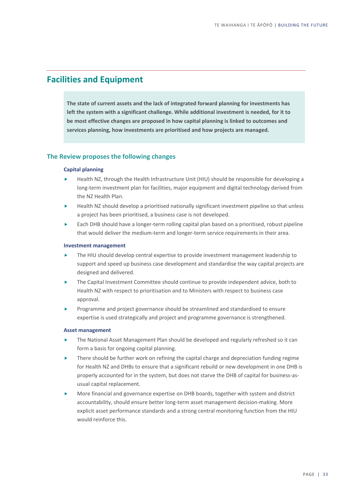# **Facilities and Equipment**

**The state of current assets and the lack of integrated forward planning for investments has left the system with a significant challenge. While additional investment is needed, for it to be most effective changes are proposed in how capital planning is linked to outcomes and services planning, how investments are prioritised and how projects are managed.**

## **The Review proposes the following changes**

#### **Capital planning**

- Health NZ, through the Health Infrastructure Unit (HIU) should be responsible for developing a long-term investment plan for facilities, major equipment and digital technology derived from the NZ Health Plan.
- Health NZ should develop a prioritised nationally significant investment pipeline so that unless a project has been prioritised, a business case is not developed.
- Each DHB should have a longer-term rolling capital plan based on a prioritised, robust pipeline that would deliver the medium-term and longer-term service requirements in their area.

#### **Investment management**

- The HIU should develop central expertise to provide investment management leadership to support and speed up business case development and standardise the way capital projects are designed and delivered.
- The Capital Investment Committee should continue to provide independent advice, both to Health NZ with respect to prioritisation and to Ministers with respect to business case approval.
- Programme and project governance should be streamlined and standardised to ensure expertise is used strategically and project and programme governance is strengthened.

#### **Asset management**

- The National Asset Management Plan should be developed and regularly refreshed so it can form a basis for ongoing capital planning.
- There should be further work on refining the capital charge and depreciation funding regime for Health NZ and DHBs to ensure that a significant rebuild or new development in one DHB is properly accounted for in the system, but does not starve the DHB of capital for business-asusual capital replacement.
- More financial and governance expertise on DHB boards, together with system and district accountability, should ensure better long-term asset management decision-making. More explicit asset performance standards and a strong central monitoring function from the HIU would reinforce this.